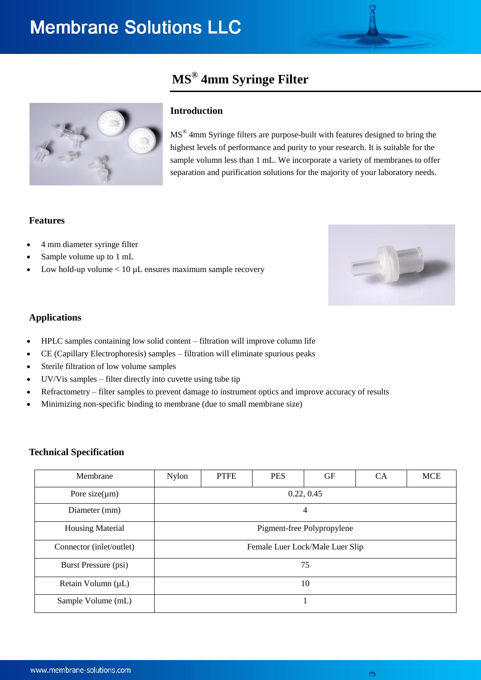# **MS® 4mm Syringe Filter**



## **Introduction**

MS<sup>®</sup> 4mm Syringe filters are purpose-built with features designed to bring the highest levels of performance and purity to your research. It is suitable for the sample volumn less than 1 mL. We incorporate a variety of membranes to offer separation and purification solutions for the majority of your laboratory needs.

### **Features**

- 4 mm diameter syringe filter
- Sample volume up to 1 mL
- Low hold-up volume  $< 10 \mu$  ensures maximum sample recovery



### **Applications**

- HPLC samples containing low solid content filtration will improve column life
- CE (Capillary Electrophoresis) samples filtration will eliminate spurious peaks
- Sterile filtration of low volume samples
- UV/Vis samples filter directly into cuvette using tube tip
- Refractometry filter samples to prevent damage to instrument optics and improve accuracy of results
- Minimizing non-specific binding to membrane (due to small membrane size)

#### **Technical Specification**

| Membrane                    | <b>Nylon</b>                    | <b>PTFE</b> | <b>PES</b> | GF | <b>CA</b> | <b>MCE</b> |
|-----------------------------|---------------------------------|-------------|------------|----|-----------|------------|
| Pore size( $\mu$ m)         | 0.22, 0.45                      |             |            |    |           |            |
| Diameter (mm)               | 4                               |             |            |    |           |            |
| <b>Housing Material</b>     | Pigment-free Polypropylene      |             |            |    |           |            |
| Connector (inlet/outlet)    | Female Luer Lock/Male Luer Slip |             |            |    |           |            |
| <b>Burst Pressure (psi)</b> | 75                              |             |            |    |           |            |
| Retain Volumn (µL)          | 10                              |             |            |    |           |            |
| Sample Volume (mL)          |                                 |             |            |    |           |            |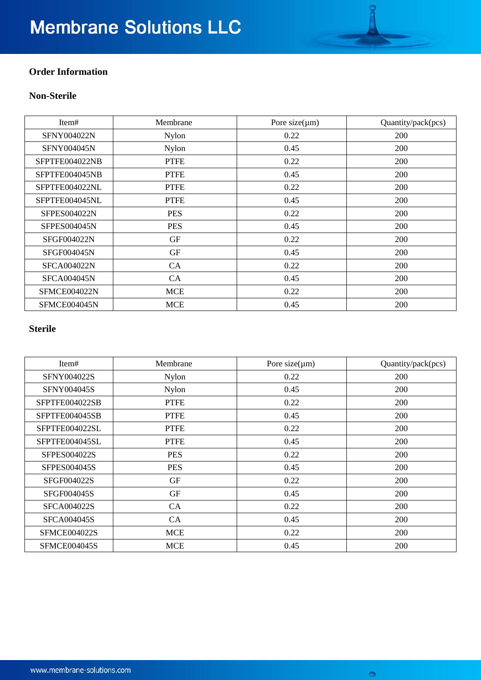# **Membrane Solutions LLC**

# **Order Information**

# **Non-Sterile**

| Item#              | Membrane     | Pore size $(\mu m)$ | Quantity/pack(pcs) |
|--------------------|--------------|---------------------|--------------------|
| SFNY004022N        | <b>Nylon</b> | 0.22                | 200                |
| SFNY004045N        | Nylon        | 0.45                | 200                |
| SFPTFE004022NB     | <b>PTFE</b>  | 0.22                | 200                |
| SFPTFE004045NB     | <b>PTFE</b>  | 0.45                | 200                |
| SFPTFE004022NL     | <b>PTFE</b>  | 0.22                | 200                |
| SFPTFE004045NL     | <b>PTFE</b>  | 0.45                | 200                |
| SFPES004022N       | <b>PES</b>   | 0.22                | 200                |
| SFPES004045N       | <b>PES</b>   | 0.45                | 200                |
| SFGF004022N        | GF           | 0.22                | <b>200</b>         |
| <b>SFGF004045N</b> | <b>GF</b>    | 0.45                | 200                |
| <b>SFCA004022N</b> | CA           | 0.22                | <b>200</b>         |
| <b>SFCA004045N</b> | CA           | 0.45                | 200                |
| SFMCE004022N       | <b>MCE</b>   | 0.22                | <b>200</b>         |
| SFMCE004045N       | <b>MCE</b>   | 0.45                | 200                |

## **Sterile**

| Item#               | Membrane    | Pore size $(\mu m)$ | Quantity/pack(pcs) |
|---------------------|-------------|---------------------|--------------------|
| <b>SFNY004022S</b>  | Nylon       | 0.22                | 200                |
| <b>SFNY004045S</b>  | Nylon       | 0.45                | 200                |
| SFPTFE004022SB      | <b>PTFE</b> | 0.22                | 200                |
| SFPTFE004045SB      | <b>PTFE</b> | 0.45                | 200                |
| SFPTFE004022SL      | <b>PTFE</b> | 0.22                | 200                |
| SFPTFE004045SL      | <b>PTFE</b> | 0.45                | 200                |
| <b>SFPES004022S</b> | <b>PES</b>  | 0.22                | 200                |
| <b>SFPES004045S</b> | <b>PES</b>  | 0.45                | 200                |
| <b>SFGF004022S</b>  | <b>GF</b>   | 0.22                | 200                |
| <b>SFGF004045S</b>  | <b>GF</b>   | 0.45                | 200                |
| <b>SFCA004022S</b>  | CA          | 0.22                | 200                |
| <b>SFCA004045S</b>  | CA          | 0.45                | 200                |
| <b>SFMCE004022S</b> | <b>MCE</b>  | 0.22                | 200                |
| <b>SFMCE004045S</b> | <b>MCE</b>  | 0.45                | 200                |